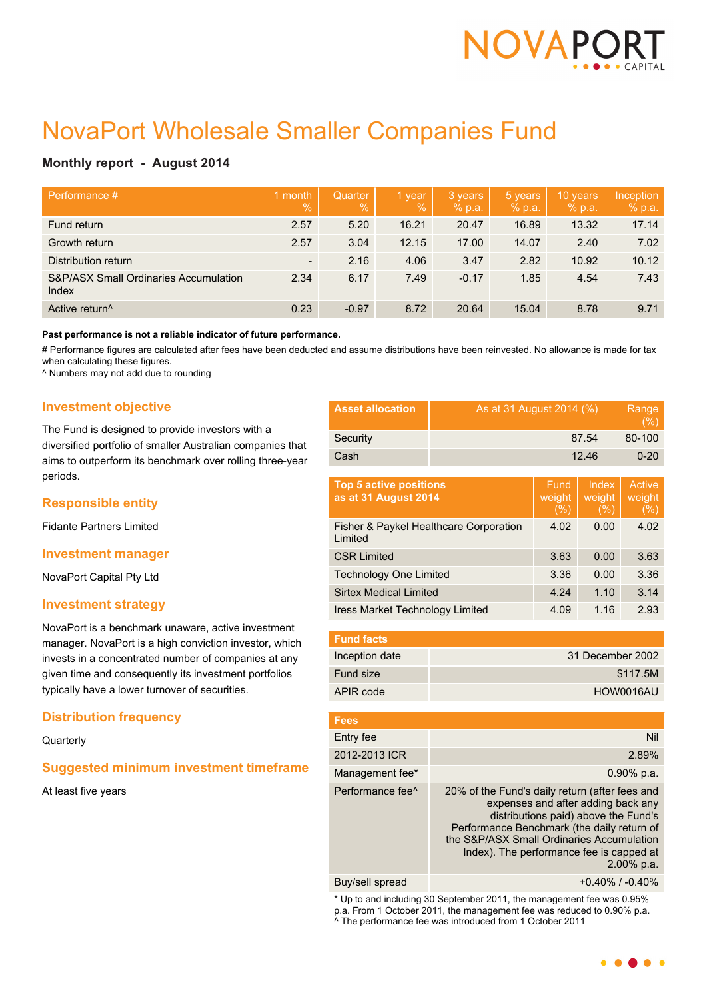

# NovaPort Wholesale Smaller Companies Fund

## **Monthly report - August 2014**

| Performance #                                  | 1 month<br>$\sqrt{2}$    | Quarter<br>$\overline{Q_0}$ | 1 year<br>$\%$ | 3 years<br>% p.a. | 5 years<br>% p.a. | 10 years<br>% p.a. | Inception<br>% p.a. |
|------------------------------------------------|--------------------------|-----------------------------|----------------|-------------------|-------------------|--------------------|---------------------|
| Fund return                                    | 2.57                     | 5.20                        | 16.21          | 20.47             | 16.89             | 13.32              | 17.14               |
| Growth return                                  | 2.57                     | 3.04                        | 12.15          | 17.00             | 14.07             | 2.40               | 7.02                |
| Distribution return                            | $\overline{\phantom{a}}$ | 2.16                        | 4.06           | 3.47              | 2.82              | 10.92              | 10.12               |
| S&P/ASX Small Ordinaries Accumulation<br>Index | 2.34                     | 6.17                        | 7.49           | $-0.17$           | 1.85              | 4.54               | 7.43                |
| Active return <sup>^</sup>                     | 0.23                     | $-0.97$                     | 8.72           | 20.64             | 15.04             | 8.78               | 9.71                |

**Past performance is not a reliable indicator of future performance.**

# Performance figures are calculated after fees have been deducted and assume distributions have been reinvested. No allowance is made for tax when calculating these figures.

^ Numbers may not add due to rounding

## **Investment objective**

The Fund is designed to provide investors with a diversified portfolio of smaller Australian companies that aims to outperform its benchmark over rolling three-year periods.

## **Responsible entity**

Fidante Partners Limited

### **Investment manager**

NovaPort Capital Pty Ltd

### **Investment strategy**

NovaPort is a benchmark unaware, active investment manager. NovaPort is a high conviction investor, which invests in a concentrated number of companies at any given time and consequently its investment portfolios typically have a lower turnover of securities.

## **Distribution frequency**

**Quarterly** 

## **Suggested minimum investment timeframe**

At least five years

| <b>Asset allocation</b> | As at 31 August 2014 (%) | Range<br>(% ) |
|-------------------------|--------------------------|---------------|
| Security                | 87.54                    | 80-100        |
| Cash                    | 12.46                    | $0 - 20$      |

| <b>Top 5 active positions</b><br>as at 31 August 2014 | Fund<br>weight<br>(% ) | Index<br>weight<br>(%) | Active<br>weight<br>(% ) |
|-------------------------------------------------------|------------------------|------------------------|--------------------------|
| Fisher & Paykel Healthcare Corporation<br>Limited     | 4.02                   | 0.00                   | 4.02                     |
| <b>CSR Limited</b>                                    | 3.63                   | 0.00                   | 3.63                     |
| <b>Technology One Limited</b>                         | 3.36                   | 0.00                   | 3.36                     |
| <b>Sirtex Medical Limited</b>                         | 4.24                   | 1.10                   | 3.14                     |
| <b>Iress Market Technology Limited</b>                | 4.09                   | 1.16                   | 2.93                     |

| <b>Fund facts</b> |                  |
|-------------------|------------------|
| Inception date    | 31 December 2002 |
| <b>Fund size</b>  | \$117.5M         |
| APIR code         | HOW0016AU        |

| <b>Fees</b>                  |                                                                                                                                                                                                                                                                                      |
|------------------------------|--------------------------------------------------------------------------------------------------------------------------------------------------------------------------------------------------------------------------------------------------------------------------------------|
| Entry fee                    | Nil                                                                                                                                                                                                                                                                                  |
| 2012-2013 ICR                | 2.89%                                                                                                                                                                                                                                                                                |
| Management fee*              | $0.90\%$ p.a.                                                                                                                                                                                                                                                                        |
| Performance fee <sup>^</sup> | 20% of the Fund's daily return (after fees and<br>expenses and after adding back any<br>distributions paid) above the Fund's<br>Performance Benchmark (the daily return of<br>the S&P/ASX Small Ordinaries Accumulation<br>Index). The performance fee is capped at<br>$2.00\%$ p.a. |
|                              |                                                                                                                                                                                                                                                                                      |

Buy/sell spread  $+0.40\%$  / -0.40%

\* Up to and including 30 September 2011, the management fee was 0.95% p.a. From 1 October 2011, the management fee was reduced to 0.90% p.a. ^ The performance fee was introduced from 1 October 2011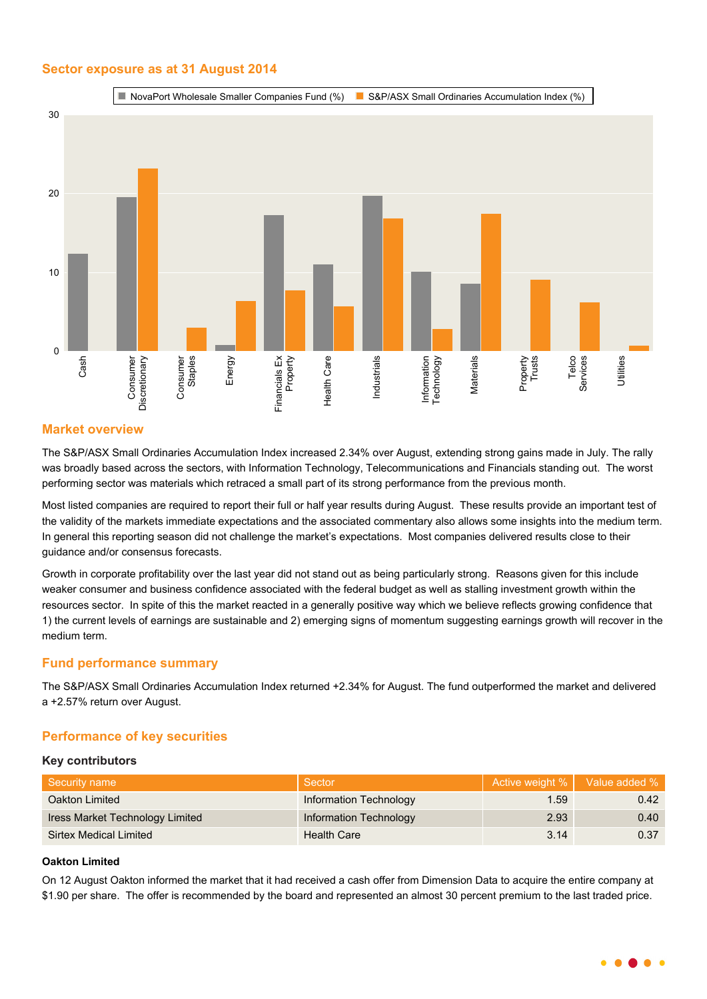## **Sector exposure as at 31 August 2014**



## **Market overview**

The S&P/ASX Small Ordinaries Accumulation Index increased 2.34% over August, extending strong gains made in July. The rally was broadly based across the sectors, with Information Technology, Telecommunications and Financials standing out. The worst performing sector was materials which retraced a small part of its strong performance from the previous month.

Most listed companies are required to report their full or half year results during August. These results provide an important test of the validity of the markets immediate expectations and the associated commentary also allows some insights into the medium term. In general this reporting season did not challenge the market's expectations. Most companies delivered results close to their guidance and/or consensus forecasts.

Growth in corporate profitability over the last year did not stand out as being particularly strong. Reasons given for this include weaker consumer and business confidence associated with the federal budget as well as stalling investment growth within the resources sector. In spite of this the market reacted in a generally positive way which we believe reflects growing confidence that 1) the current levels of earnings are sustainable and 2) emerging signs of momentum suggesting earnings growth will recover in the medium term.

## **Fund performance summary**

The S&P/ASX Small Ordinaries Accumulation Index returned +2.34% for August. The fund outperformed the market and delivered a +2.57% return over August.

## **Performance of key securities**

### **Key contributors**

| Security name                   | Sector                 | Active weight %   Value added % |      |
|---------------------------------|------------------------|---------------------------------|------|
| Oakton Limited                  | Information Technology | 1.59                            | 0.42 |
| Iress Market Technology Limited | Information Technology | 2.93                            | 0.40 |
| Sirtex Medical Limited          | <b>Health Care</b>     | 3.14                            | 0.37 |

## **Oakton Limited**

On 12 August Oakton informed the market that it had received a cash offer from Dimension Data to acquire the entire company at \$1.90 per share. The offer is recommended by the board and represented an almost 30 percent premium to the last traded price.